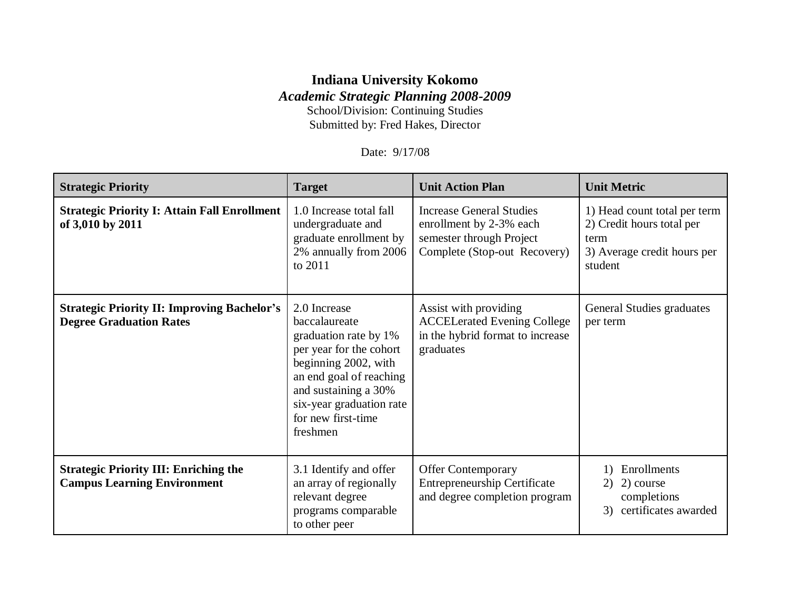## **Indiana University Kokomo** *Academic Strategic Planning 2008-2009*

School/Division: Continuing Studies Submitted by: Fred Hakes, Director

Date: 9/17/08

| <b>Strategic Priority</b>                                                            | <b>Target</b>                                                                                                                                                                                                              | <b>Unit Action Plan</b>                                                                                                | <b>Unit Metric</b>                                                                                          |
|--------------------------------------------------------------------------------------|----------------------------------------------------------------------------------------------------------------------------------------------------------------------------------------------------------------------------|------------------------------------------------------------------------------------------------------------------------|-------------------------------------------------------------------------------------------------------------|
| <b>Strategic Priority I: Attain Fall Enrollment</b><br>of 3,010 by 2011              | 1.0 Increase total fall<br>undergraduate and<br>graduate enrollment by<br>2% annually from 2006<br>to 2011                                                                                                                 | <b>Increase General Studies</b><br>enrollment by 2-3% each<br>semester through Project<br>Complete (Stop-out Recovery) | 1) Head count total per term<br>2) Credit hours total per<br>term<br>3) Average credit hours per<br>student |
| <b>Strategic Priority II: Improving Bachelor's</b><br><b>Degree Graduation Rates</b> | 2.0 Increase<br>baccalaureate<br>graduation rate by 1%<br>per year for the cohort<br>beginning 2002, with<br>an end goal of reaching<br>and sustaining a 30%<br>six-year graduation rate<br>for new first-time<br>freshmen | Assist with providing<br><b>ACCELerated Evening College</b><br>in the hybrid format to increase<br>graduates           | General Studies graduates<br>per term                                                                       |
| <b>Strategic Priority III: Enriching the</b><br><b>Campus Learning Environment</b>   | 3.1 Identify and offer<br>an array of regionally<br>relevant degree<br>programs comparable<br>to other peer                                                                                                                | <b>Offer Contemporary</b><br><b>Entrepreneurship Certificate</b><br>and degree completion program                      | Enrollments<br>2) course<br>2)<br>completions<br>certificates awarded<br>3)                                 |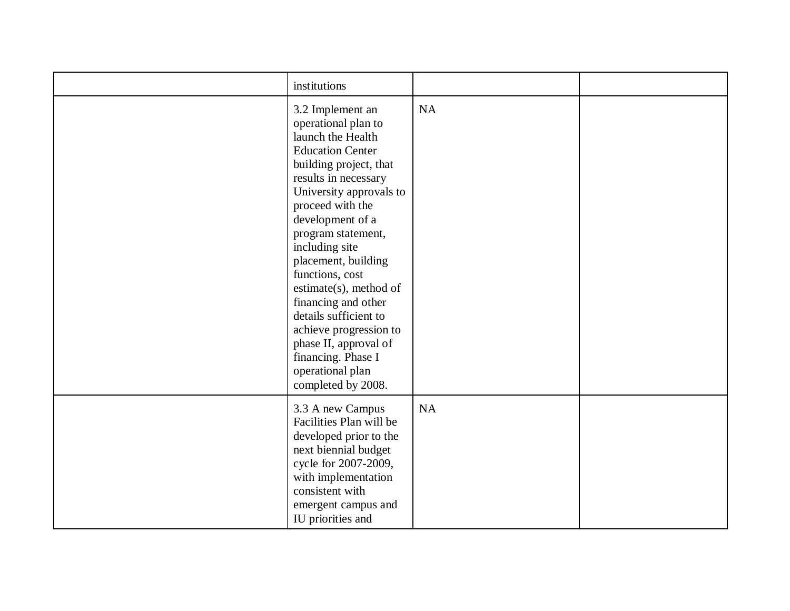| institutions                                                                                                                                                                                                                                                                                                                                                                                                                                                                                |           |  |
|---------------------------------------------------------------------------------------------------------------------------------------------------------------------------------------------------------------------------------------------------------------------------------------------------------------------------------------------------------------------------------------------------------------------------------------------------------------------------------------------|-----------|--|
| 3.2 Implement an<br>operational plan to<br>launch the Health<br><b>Education Center</b><br>building project, that<br>results in necessary<br>University approvals to<br>proceed with the<br>development of a<br>program statement,<br>including site<br>placement, building<br>functions, cost<br>estimate(s), method of<br>financing and other<br>details sufficient to<br>achieve progression to<br>phase II, approval of<br>financing. Phase I<br>operational plan<br>completed by 2008. | <b>NA</b> |  |
| 3.3 A new Campus<br>Facilities Plan will be<br>developed prior to the<br>next biennial budget<br>cycle for 2007-2009,<br>with implementation<br>consistent with<br>emergent campus and<br>IU priorities and                                                                                                                                                                                                                                                                                 | NA        |  |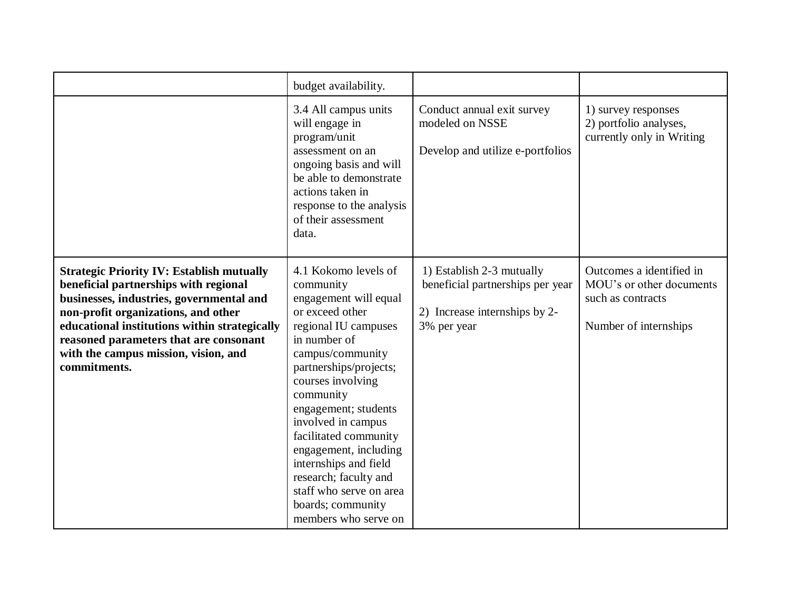|                                                                                                                                                                                                                                                                                                                                 | budget availability.                                                                                                                                                                                                                                                                                                                                                                                                            |                                                                                                               |                                                                                                    |
|---------------------------------------------------------------------------------------------------------------------------------------------------------------------------------------------------------------------------------------------------------------------------------------------------------------------------------|---------------------------------------------------------------------------------------------------------------------------------------------------------------------------------------------------------------------------------------------------------------------------------------------------------------------------------------------------------------------------------------------------------------------------------|---------------------------------------------------------------------------------------------------------------|----------------------------------------------------------------------------------------------------|
|                                                                                                                                                                                                                                                                                                                                 | 3.4 All campus units<br>will engage in<br>program/unit<br>assessment on an<br>ongoing basis and will<br>be able to demonstrate<br>actions taken in<br>response to the analysis<br>of their assessment<br>data.                                                                                                                                                                                                                  | Conduct annual exit survey<br>modeled on NSSE<br>Develop and utilize e-portfolios                             | 1) survey responses<br>2) portfolio analyses,<br>currently only in Writing                         |
| <b>Strategic Priority IV: Establish mutually</b><br>beneficial partnerships with regional<br>businesses, industries, governmental and<br>non-profit organizations, and other<br>educational institutions within strategically<br>reasoned parameters that are consonant<br>with the campus mission, vision, and<br>commitments. | 4.1 Kokomo levels of<br>community<br>engagement will equal<br>or exceed other<br>regional IU campuses<br>in number of<br>campus/community<br>partnerships/projects;<br>courses involving<br>community<br>engagement; students<br>involved in campus<br>facilitated community<br>engagement, including<br>internships and field<br>research; faculty and<br>staff who serve on area<br>boards; community<br>members who serve on | 1) Establish 2-3 mutually<br>beneficial partnerships per year<br>2) Increase internships by 2-<br>3% per year | Outcomes a identified in<br>MOU's or other documents<br>such as contracts<br>Number of internships |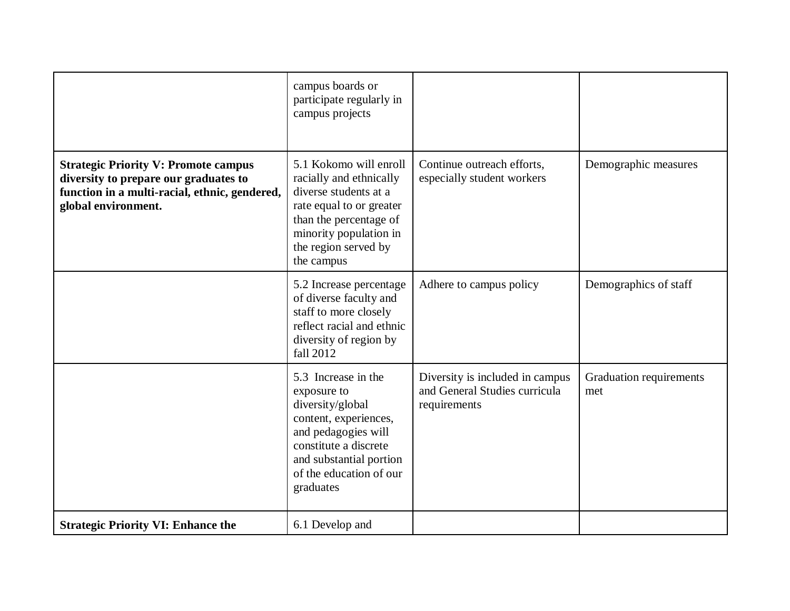|                                                                                                                                                              | campus boards or<br>participate regularly in<br>campus projects                                                                                                                                    |                                                                                  |                                |
|--------------------------------------------------------------------------------------------------------------------------------------------------------------|----------------------------------------------------------------------------------------------------------------------------------------------------------------------------------------------------|----------------------------------------------------------------------------------|--------------------------------|
| <b>Strategic Priority V: Promote campus</b><br>diversity to prepare our graduates to<br>function in a multi-racial, ethnic, gendered,<br>global environment. | 5.1 Kokomo will enroll<br>racially and ethnically<br>diverse students at a<br>rate equal to or greater<br>than the percentage of<br>minority population in<br>the region served by<br>the campus   | Continue outreach efforts,<br>especially student workers                         | Demographic measures           |
|                                                                                                                                                              | 5.2 Increase percentage<br>of diverse faculty and<br>staff to more closely<br>reflect racial and ethnic<br>diversity of region by<br>fall 2012                                                     | Adhere to campus policy                                                          | Demographics of staff          |
|                                                                                                                                                              | 5.3 Increase in the<br>exposure to<br>diversity/global<br>content, experiences,<br>and pedagogies will<br>constitute a discrete<br>and substantial portion<br>of the education of our<br>graduates | Diversity is included in campus<br>and General Studies curricula<br>requirements | Graduation requirements<br>met |
| <b>Strategic Priority VI: Enhance the</b>                                                                                                                    | 6.1 Develop and                                                                                                                                                                                    |                                                                                  |                                |